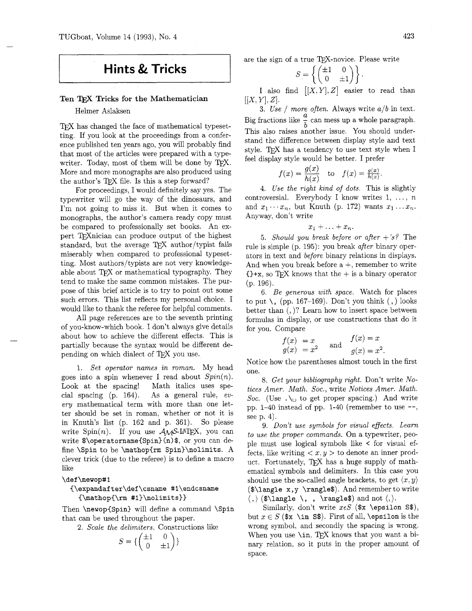TUGboat. Volume 14 (1993), No. 4

# **Hints** & **Tricks**

## Ten Tricks for the Mathematician

## Helmer Aslaksen

TFX has changed the face of mathematical typesetting. If you look at the proceedings from a conference published ten years ago, you will probably find that most of the articles were prepared with a type-<br>writer. Today, most of them will be done by TEX. More and more monographs are also produced using<br>the author's T<sub>E</sub>X file. Is this a step forward?

For proceedings, I would definitely say yes. The typewriter will go the way of the dinosaurs, and I'm not going to miss it. But when it comes to monographs, the author's camera ready copy must be compared to professionally set books. An expert T<sub>F</sub>X nician can produce output of the highest standard, but the average TEX author/typist fails miserably when compared to professional typesetting. Most authors/typists are not very knowledgeable about TFX or mathematical typography. They tend to make the same common mistakes. The purpose of this brief article is to try to point out some such errors. This list reflects my personal choice. I would like to thank the referee for helpful comments.

All page references are to the seventh printing of you-know-which book. I don't always give details about how to achieve the different effects. This is partially because the syntax would be different depending on which dialect of T<sub>F</sub>X you use.

1. *Set operator names in roman.* My head goes into a spin whenever I read about *Spin(n).*  Look at the spacing! Math italics uses special spacing (p. 164). As a general rule, *every* mathematical term with more than one letter should be set in roman, whether or not it is in Knuth's list (p. 162 and p. 361). So please write  $Spin(n)$ . If you use  $A\Lambda A\mathcal{S}$ -LAT<sub>F</sub>X, you can write \$\operatorname{Spin) (n) \$, or you can define \Spin to be \mathop{rm Spin)\nolimits. A clever trick (due to the referee) is to define a macro like

#### \def \newop#l

## **(\expandafter\def\csname** #l\endcsname  ${\mathbf{\rm #1}}\nolimits$

Then \newop{Spin} will define a command \Spin that can be used throughout the paper.

2. *Scale the delimiters.* Constructions like

$$
S = \left\{ \begin{pmatrix} \pm 1 & 0 \\ 0 & \pm 1 \end{pmatrix} \right\}
$$

are the sign of a true TFX-novice. Please write

$$
S = \left\{ \begin{pmatrix} \pm 1 & 0 \\ 0 & \pm 1 \end{pmatrix} \right\}.
$$

I also find  $|[X, Y], Z|$  easier to read than  $[[X, Y], Z].$ 

3. *Use* / *more often.* Always write *alb* in text. Big fractions like  $\frac{a}{b}$  can mess up a whole paragraph. This also raises another issue. You should understand the difference between display style and text style. T $\cancel{F}X$  has a tendency to use text style when I feel display style would be better. I prefer

$$
f(x) = \frac{g(x)}{h(x)}
$$
 to  $f(x) = \frac{g(x)}{h(x)}$ .

4. *Use the right kind of dots.* This is slightly controversial. Everybody I know writes  $1, \ldots, n$ and  $x_1 \cdots x_n$ , but Knuth (p. 172) wants  $x_1 \ldots x_n$ . Anyway, don't write

$$
x_1+\ldots+x_n.
$$

*5. Should you break before or after +'sf* The rule is simple (p. 195): you break *after* binary operators in text and *before* binary relations in displays. And when you break before  $a +$ , remember to write  ${+x}$ , so TEX knows that the  $+$  is a binary operator (p. 196).

6. *Be generous with space.* Watch for places to put  $\langle$ , (pp. 167–169). Don't you think  $($ ,  $)$  looks better than (, )? Learn how to insert space between formulas in display, or use constructions that do it for you. Compare

$$
f(x) = x
$$
  
 
$$
g(x) = x2
$$
 and 
$$
f(x) = x
$$
  
 
$$
g(x) = x2.
$$

Notice how the parentheses almost touch in the first one.

8. *Get your bibliography right.* Don't write *Notices Amer. Math. Soc.,* write *Notices Amer. Math. Soc.* (Use  $\cdot \setminus \cup$  to get proper spacing.) And write pp.  $1-40$  instead of pp.  $1-40$  (remember to use  $-$ , see p. 4).

9. *Don't use symbols for visual eflects. Learn to use the proper commands.* On a typewriter. people must use logical symbols like < for visual effects, like writing  $\langle x, y \rangle$  to denote an inner product. Fortunately, T $\overline{p}X$  has a huge supply of mathematical symbols and delimiters. In this case you should use the so-called angle brackets, to get  $\langle x, y \rangle$ (\$\langle x , y \rangle\$). And remember to write  $\langle , \rangle$  (\$\langle \, , \rangle\$) and not  $\langle , \rangle$ .

Similarly, don't write  $x \in S$  (\$x \epsilon S\$), but  $x \in S$  ( $\mathbf{x} \in \mathbf{S}$ ). First of all, \epsilon is the wrong symbol. and secondly the spacing is wrong. When you use  $\in$ , TEX knows that you want a binary relation, so it puts in the proper amount of space.